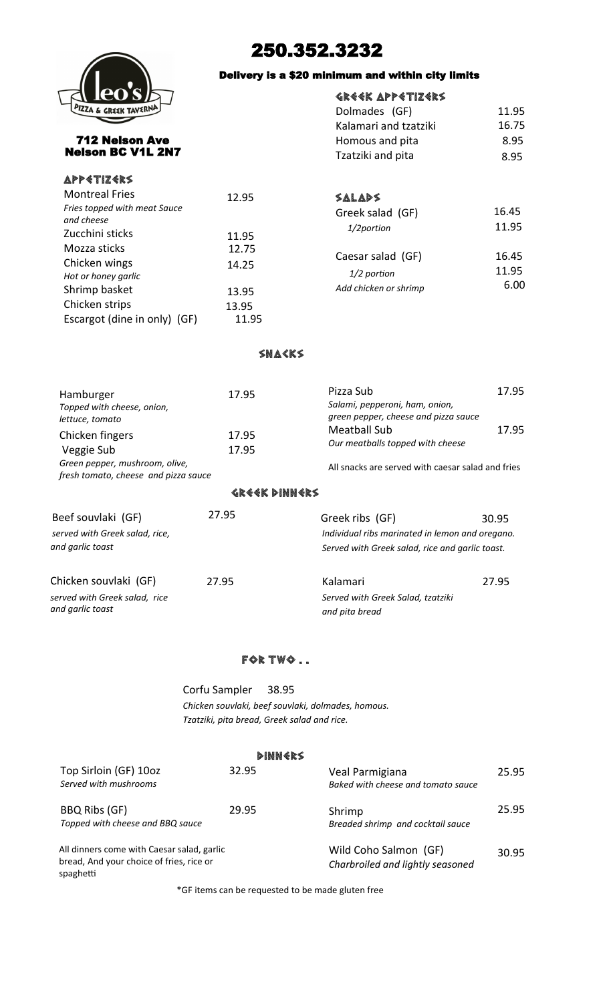

# 250.352.3232

## Delivery is a \$20 minimum and within city limits

## Greek Appetizers

| Dolmades (GF)         | 11.95 |
|-----------------------|-------|
| Kalamari and tzatziki | 16.75 |
| Homous and pita       | 8.95  |
| Tzatziki and pita     | 8.95  |
|                       |       |

712 Nelson Ave Nelson BC V1L 2N7

## Snacks

| Hamburger                                                              | 17.95 | Pizza Sub                                         | 17.95 |
|------------------------------------------------------------------------|-------|---------------------------------------------------|-------|
| Topped with cheese, onion,                                             |       | Salami, pepperoni, ham, onion,                    |       |
| lettuce, tomato                                                        |       | green pepper, cheese and pizza sauce              |       |
| Chicken fingers                                                        | 17.95 | Meatball Sub                                      | 17.95 |
| Veggie Sub                                                             | 17.95 | Our meatballs topped with cheese                  |       |
| Green pepper, mushroom, olive,<br>fresh tomato, cheese and pizza sauce |       | All snacks are served with caesar salad and fries |       |

#### Greek Dinners

| Beef souvlaki (GF)                                                         | 27.95 | Greek ribs (GF)                                                                                    | 30.95 |
|----------------------------------------------------------------------------|-------|----------------------------------------------------------------------------------------------------|-------|
| served with Greek salad, rice,<br>and garlic toast                         |       | Individual ribs marinated in lemon and oregano.<br>Served with Greek salad, rice and garlic toast. |       |
| Chicken souvlaki (GF)<br>served with Greek salad, rice<br>and garlic toast | 27.95 | Kalamari<br>Served with Greek Salad, tzatziki<br>and pita bread                                    | 27.95 |

# for two . .

Corfu Sampler 38.95 *Chicken souvlaki, beef souvlaki, dolmades, homous. Tzatziki, pita bread, Greek salad and rice.* 

#### **DINNERS**

| Top Sirloin (GF) 10oz<br>Served with mushrooms                                                      | 32.95 | Veal Parmigiana<br>Baked with cheese and tomato sauce     | 25.95 |
|-----------------------------------------------------------------------------------------------------|-------|-----------------------------------------------------------|-------|
| BBQ Ribs (GF)<br>Topped with cheese and BBQ sauce                                                   | 29.95 | Shrimp<br>Breaded shrimp and cocktail sauce               | 25.95 |
| All dinners come with Caesar salad, garlic<br>bread, And your choice of fries, rice or<br>spaghetti |       | Wild Coho Salmon (GF)<br>Charbroiled and lightly seasoned | 30.95 |

\*GF items can be requested to be made gluten free